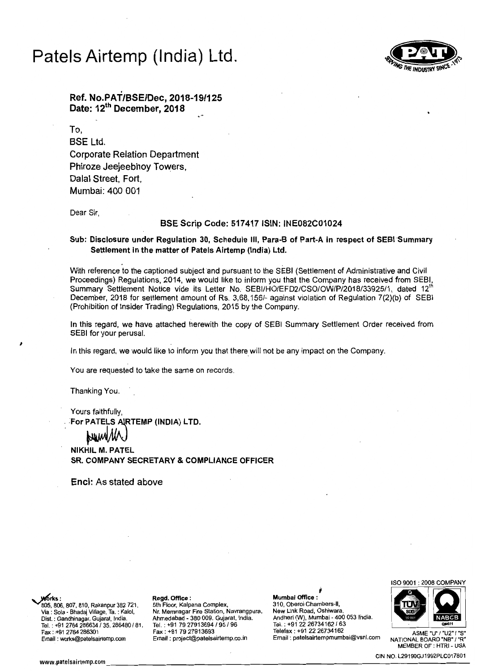# Patels Airtemp (India) Ltd .



. Ref. No.PAT/BSE/Dec, 2018-19/125 Date: 12<sup>th</sup> December, 2018

To, BSE Ltd. Corporate Relation Department Phiroze Jeejeebhoy Towers, Dalal Street. Fort, Mumbai: 400 001

Dear Sir,

### SSE Scrip Code: 517417 ISIN: INE082C01024

### Sub: Disclosure under Regulation 30, Schedule III, Para-B of Part-A in respect of SEBI Summary Settlement in the matter of Patels Airtemp (India) Ltd.

With reference to the captioned subject and pursuant to the SEBI (Settlement of Administrative and Civil Proceedings) Regulations, 2014, we would like to inform you that the Company has received from SEBI, Summary Settlement Notice vide its Letter No. SEBI/HO/EFD2/CSO/OW/P/2018/33925/1, dated 12<sup>th</sup> December, 2018 for settlement amount of Rs. 3,68,156/- against violation of Regulation 7(2)(b) of SEBI (Prohibition of Insider Trading) Regulations, 2015 by the Company.

In this regard, we have attached herewith the copy of SEBI Summary Settlement Order received from SEBI for your perusal.

In this regard, we would like to inform you that there will not be any impact on the Company.

You are requested to take the same on records.

Thanking You.

Yours faithfully, For PATELS AIRTEMP (INDIA) LTD.

**NIKHIL M. PATEL** SR. COMPANY SECRETARY & COMPLIANCE OFFICER

Encl: As stated above

I

Via: Sola - Bhadaj Village,Ta. : Kalol, 805. 806. 807, 810, Rakanpur 382 721,

### Regd. Office:

5th Floor, Kalpana Complex, Nr. Memnagar Fire Station, Navrangpura, Dist. : Gandhinagar, Gujarat, India. Ahmedabad - 380 009. Gujara!, India. Andheri 0N), Mumbai - 400 053 Ihdia. QMOl1 Tel. : +91 2764 *286634/35,* 286480 *181,* Tel. : +91 79 27913694 *195/96* Tel. ; +91 *2226734162/63* 

 $\frac{1}{2}$ Morks:<br>
Mumbai Office :<br>
805, 806, 807, 810, Rakanpur 382 721, 5th Floor, Kalpana Complex, 310, Oberoi Chambers-II,<br>
Via : Sola - Bhadaj Village, Ta. : Kalol, Nr. Memnagar Fire Station, Navrangpura, New Link Road, Oshiwara Mumbal Office: 310, Oberoi Chambers-II, New Link Road, Oshiwara, Tel. : +91 2764 286634 / 35, 286480 / 81, Tel. : +91 79 27913694 / 95 / 96 Tel. : +91 22 26734162 / 63 Tel. :<br>Fax : +91 79 27913693 Telefax : +91 22 26734162 ASME "U" / "U2" / "S"<br>Email : works@patelsairtemp.com Email : p Email : patelsairtempmumbai@vsnl.com



MEMBER OF : HTRI - USA